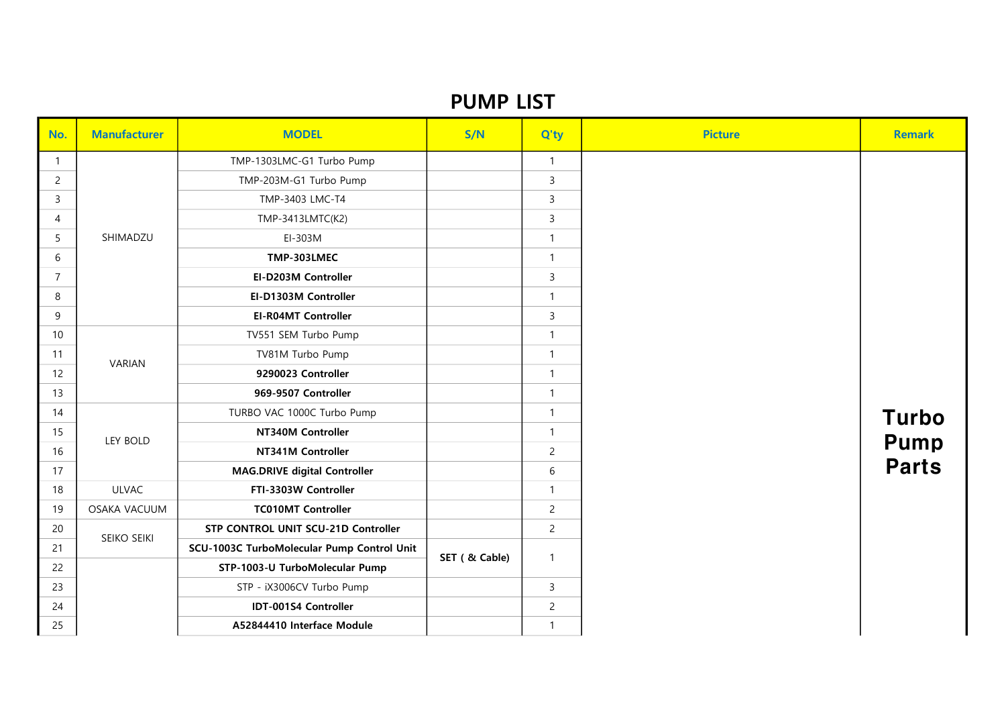## PUMP LIST

| No.            | <b>Manufacturer</b> | <b>MODEL</b>                               | S/N            | Q'ty           | <b>Picture</b> | <b>Remark</b> |
|----------------|---------------------|--------------------------------------------|----------------|----------------|----------------|---------------|
| $\mathbf{1}$   | SHIMADZU            | TMP-1303LMC-G1 Turbo Pump                  |                | $\mathbf{1}$   |                |               |
| $\overline{2}$ |                     | TMP-203M-G1 Turbo Pump                     |                | $\mathsf{3}$   |                |               |
| $\overline{3}$ |                     | TMP-3403 LMC-T4                            |                | $\overline{3}$ |                |               |
| $\overline{4}$ |                     | TMP-3413LMTC(K2)                           |                | $\overline{3}$ |                |               |
| 5              |                     | EI-303M                                    |                | $\mathbf{1}$   |                |               |
| 6              |                     | TMP-303LMEC                                |                | $\mathbf{1}$   |                |               |
| $\overline{7}$ |                     | EI-D203M Controller                        |                | $\mathsf{3}$   |                |               |
| 8              |                     | EI-D1303M Controller                       |                | $\mathbf{1}$   |                |               |
| 9              |                     | <b>EI-R04MT Controller</b>                 |                | $\mathsf{3}$   |                |               |
| 10             |                     | TV551 SEM Turbo Pump                       |                | $\mathbf{1}$   |                |               |
| 11             | VARIAN              | TV81M Turbo Pump                           |                | $\mathbf{1}$   |                |               |
| 12             |                     | 9290023 Controller                         |                | $\mathbf{1}$   |                |               |
| 13             |                     | 969-9507 Controller                        |                | $\mathbf{1}$   |                |               |
| 14             |                     | TURBO VAC 1000C Turbo Pump                 |                | $\mathbf{1}$   |                | <b>Turbo</b>  |
| 15             | LEY BOLD            | NT340M Controller                          |                | $\mathbf{1}$   |                | <b>Pump</b>   |
| 16             |                     | NT341M Controller                          |                | $\overline{c}$ |                |               |
| 17             |                     | <b>MAG.DRIVE digital Controller</b>        |                | $6\,$          |                | <b>Parts</b>  |
| 18             | <b>ULVAC</b>        | FTI-3303W Controller                       |                | $\mathbf{1}$   |                |               |
| 19             | OSAKA VACUUM        | <b>TC010MT Controller</b>                  |                | $\overline{c}$ |                |               |
| 20             | SEIKO SEIKI         | STP CONTROL UNIT SCU-21D Controller        |                | $\overline{2}$ |                |               |
| 21             |                     | SCU-1003C TurboMolecular Pump Control Unit | SET ( & Cable) | $\mathbf{1}$   |                |               |
| 22             |                     | STP-1003-U TurboMolecular Pump             |                |                |                |               |
| 23             |                     | STP - iX3006CV Turbo Pump                  |                | $\overline{3}$ |                |               |
| 24             |                     | IDT-001S4 Controller                       |                | $\overline{c}$ |                |               |
| 25             |                     | A52844410 Interface Module                 |                | $\mathbf{1}$   |                |               |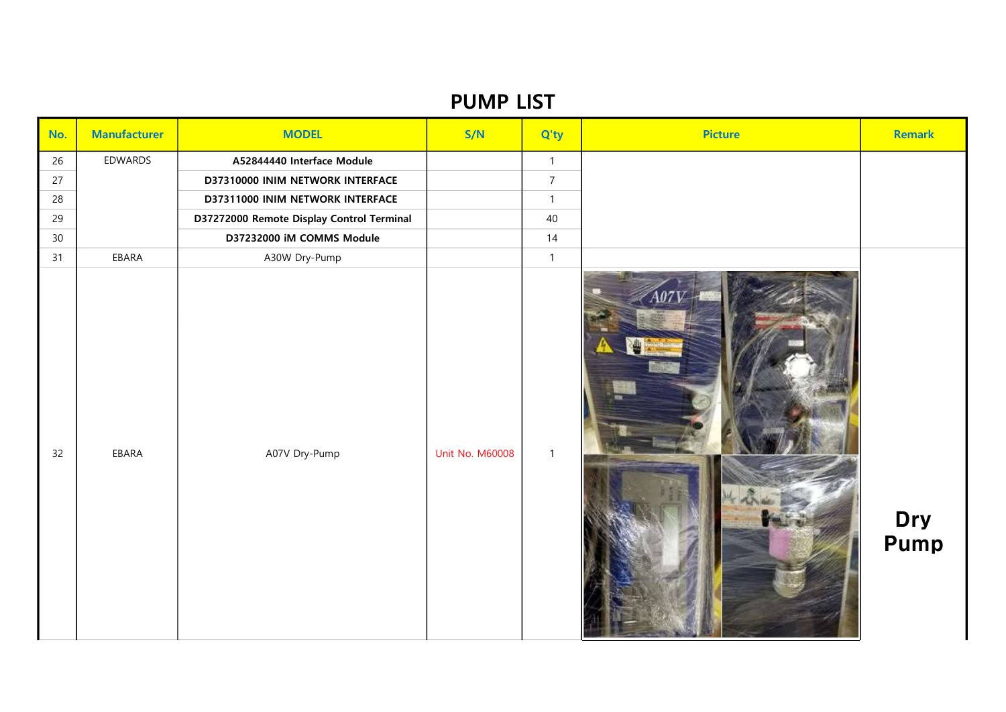## PUMP LIST

| No.             | <b>Manufacturer</b> | <b>MODEL</b>                              | S/N                    | Q'ty           | <b>Picture</b> | <b>Remark</b> |
|-----------------|---------------------|-------------------------------------------|------------------------|----------------|----------------|---------------|
| 26              | EDWARDS             | A52844440 Interface Module                |                        | $\mathbf{1}$   |                |               |
| 27              |                     | D37310000 INIM NETWORK INTERFACE          |                        | $\overline{7}$ |                |               |
| 28              |                     | D37311000 INIM NETWORK INTERFACE          |                        | $\mathbf{1}$   |                |               |
| 29              |                     | D37272000 Remote Display Control Terminal |                        | 40             |                |               |
| 30 <sup>°</sup> |                     | D37232000 iM COMMS Module                 |                        | 14             |                |               |
| 31              | EBARA               | A30W Dry-Pump                             |                        | $\mathbf{1}$   |                |               |
| 32              | EBARA               | A07V Dry-Pump                             | <b>Unit No. M60008</b> | $\overline{1}$ |                | Dry<br>Pump   |